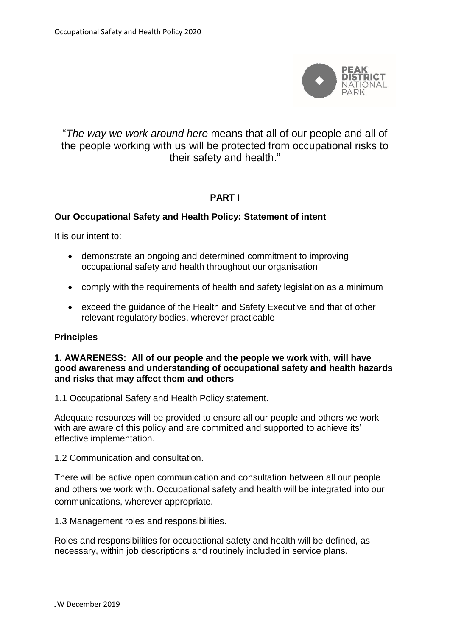

# "*The way we work around here* means that all of our people and all of the people working with us will be protected from occupational risks to their safety and health."

### **PART I**

### **Our Occupational Safety and Health Policy: Statement of intent**

It is our intent to:

- demonstrate an ongoing and determined commitment to improving occupational safety and health throughout our organisation
- comply with the requirements of health and safety legislation as a minimum
- exceed the guidance of the Health and Safety Executive and that of other relevant regulatory bodies, wherever practicable

#### **Principles**

#### **1. AWARENESS: All of our people and the people we work with, will have good awareness and understanding of occupational safety and health hazards and risks that may affect them and others**

1.1 Occupational Safety and Health Policy statement.

Adequate resources will be provided to ensure all our people and others we work with are aware of this policy and are committed and supported to achieve its' effective implementation.

1.2 Communication and consultation.

There will be active open communication and consultation between all our people and others we work with. Occupational safety and health will be integrated into our communications, wherever appropriate.

1.3 Management roles and responsibilities.

Roles and responsibilities for occupational safety and health will be defined, as necessary, within job descriptions and routinely included in service plans.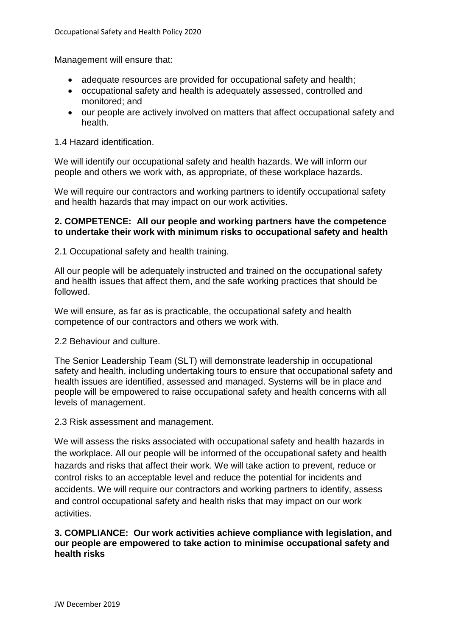Management will ensure that:

- adequate resources are provided for occupational safety and health:
- occupational safety and health is adequately assessed, controlled and monitored; and
- our people are actively involved on matters that affect occupational safety and health.

#### 1.4 Hazard identification.

We will identify our occupational safety and health hazards. We will inform our people and others we work with, as appropriate, of these workplace hazards.

We will require our contractors and working partners to identify occupational safety and health hazards that may impact on our work activities.

#### **2. COMPETENCE: All our people and working partners have the competence to undertake their work with minimum risks to occupational safety and health**

2.1 Occupational safety and health training.

All our people will be adequately instructed and trained on the occupational safety and health issues that affect them, and the safe working practices that should be followed.

We will ensure, as far as is practicable, the occupational safety and health competence of our contractors and others we work with.

2.2 Behaviour and culture.

The Senior Leadership Team (SLT) will demonstrate leadership in occupational safety and health, including undertaking tours to ensure that occupational safety and health issues are identified, assessed and managed. Systems will be in place and people will be empowered to raise occupational safety and health concerns with all levels of management.

#### 2.3 Risk assessment and management.

We will assess the risks associated with occupational safety and health hazards in the workplace. All our people will be informed of the occupational safety and health hazards and risks that affect their work. We will take action to prevent, reduce or control risks to an acceptable level and reduce the potential for incidents and accidents. We will require our contractors and working partners to identify, assess and control occupational safety and health risks that may impact on our work activities.

#### **3. COMPLIANCE: Our work activities achieve compliance with legislation, and our people are empowered to take action to minimise occupational safety and health risks**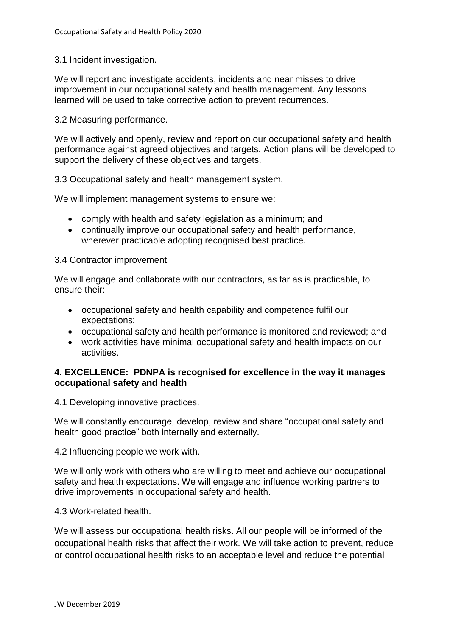3.1 Incident investigation.

We will report and investigate accidents, incidents and near misses to drive improvement in our occupational safety and health management. Any lessons learned will be used to take corrective action to prevent recurrences.

3.2 Measuring performance.

We will actively and openly, review and report on our occupational safety and health performance against agreed objectives and targets. Action plans will be developed to support the delivery of these objectives and targets.

3.3 Occupational safety and health management system.

We will implement management systems to ensure we:

- comply with health and safety legislation as a minimum; and
- continually improve our occupational safety and health performance, wherever practicable adopting recognised best practice.

3.4 Contractor improvement.

We will engage and collaborate with our contractors, as far as is practicable, to ensure their:

- occupational safety and health capability and competence fulfil our expectations;
- occupational safety and health performance is monitored and reviewed; and
- work activities have minimal occupational safety and health impacts on our activities.

### **4. EXCELLENCE: PDNPA is recognised for excellence in the way it manages occupational safety and health**

4.1 Developing innovative practices.

We will constantly encourage, develop, review and share "occupational safety and health good practice" both internally and externally.

4.2 Influencing people we work with.

We will only work with others who are willing to meet and achieve our occupational safety and health expectations. We will engage and influence working partners to drive improvements in occupational safety and health.

4.3 Work-related health.

We will assess our occupational health risks. All our people will be informed of the occupational health risks that affect their work. We will take action to prevent, reduce or control occupational health risks to an acceptable level and reduce the potential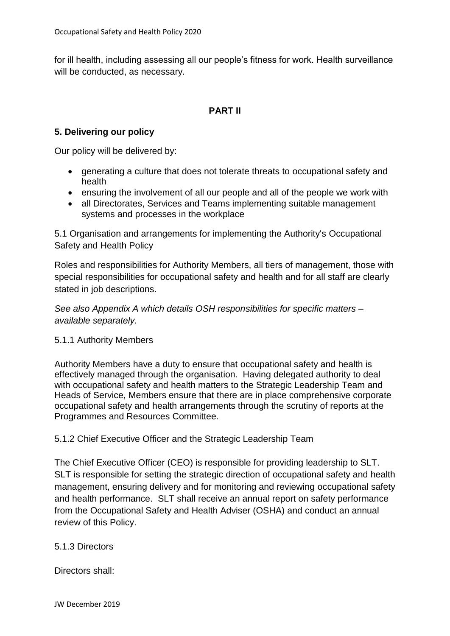for ill health, including assessing all our people's fitness for work. Health surveillance will be conducted, as necessary.

## **PART II**

## **5. Delivering our policy**

Our policy will be delivered by:

- generating a culture that does not tolerate threats to occupational safety and health
- ensuring the involvement of all our people and all of the people we work with
- all Directorates, Services and Teams implementing suitable management systems and processes in the workplace

5.1 Organisation and arrangements for implementing the Authority's Occupational Safety and Health Policy

Roles and responsibilities for Authority Members, all tiers of management, those with special responsibilities for occupational safety and health and for all staff are clearly stated in job descriptions.

*See also Appendix A which details OSH responsibilities for specific matters – available separately.*

## 5.1.1 Authority Members

Authority Members have a duty to ensure that occupational safety and health is effectively managed through the organisation. Having delegated authority to deal with occupational safety and health matters to the Strategic Leadership Team and Heads of Service, Members ensure that there are in place comprehensive corporate occupational safety and health arrangements through the scrutiny of reports at the Programmes and Resources Committee.

5.1.2 Chief Executive Officer and the Strategic Leadership Team

The Chief Executive Officer (CEO) is responsible for providing leadership to SLT. SLT is responsible for setting the strategic direction of occupational safety and health management, ensuring delivery and for monitoring and reviewing occupational safety and health performance. SLT shall receive an annual report on safety performance from the Occupational Safety and Health Adviser (OSHA) and conduct an annual review of this Policy.

## 5.1.3 Directors

Directors shall: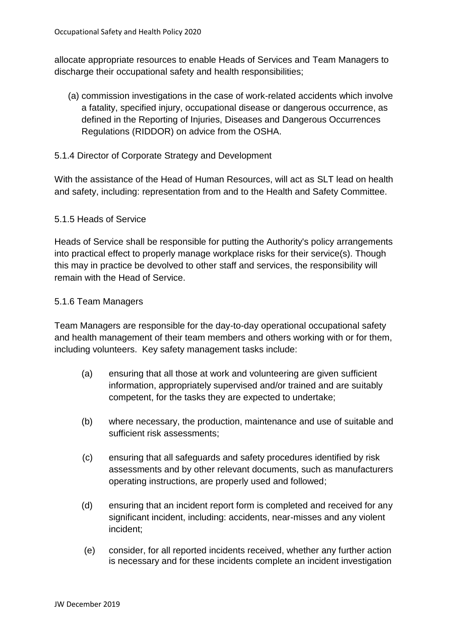allocate appropriate resources to enable Heads of Services and Team Managers to discharge their occupational safety and health responsibilities;

- (a) commission investigations in the case of work-related accidents which involve a fatality, specified injury, occupational disease or dangerous occurrence, as defined in the Reporting of Injuries, Diseases and Dangerous Occurrences Regulations (RIDDOR) on advice from the OSHA.
- 5.1.4 Director of Corporate Strategy and Development

With the assistance of the Head of Human Resources, will act as SLT lead on health and safety, including: representation from and to the Health and Safety Committee.

### 5.1.5 Heads of Service

Heads of Service shall be responsible for putting the Authority's policy arrangements into practical effect to properly manage workplace risks for their service(s). Though this may in practice be devolved to other staff and services, the responsibility will remain with the Head of Service.

### 5.1.6 Team Managers

Team Managers are responsible for the day-to-day operational occupational safety and health management of their team members and others working with or for them, including volunteers. Key safety management tasks include:

- (a) ensuring that all those at work and volunteering are given sufficient information, appropriately supervised and/or trained and are suitably competent, for the tasks they are expected to undertake;
- (b) where necessary, the production, maintenance and use of suitable and sufficient risk assessments;
- (c) ensuring that all safeguards and safety procedures identified by risk assessments and by other relevant documents, such as manufacturers operating instructions, are properly used and followed;
- (d) ensuring that an incident report form is completed and received for any significant incident, including: accidents, near-misses and any violent incident;
- (e) consider, for all reported incidents received, whether any further action is necessary and for these incidents complete an incident investigation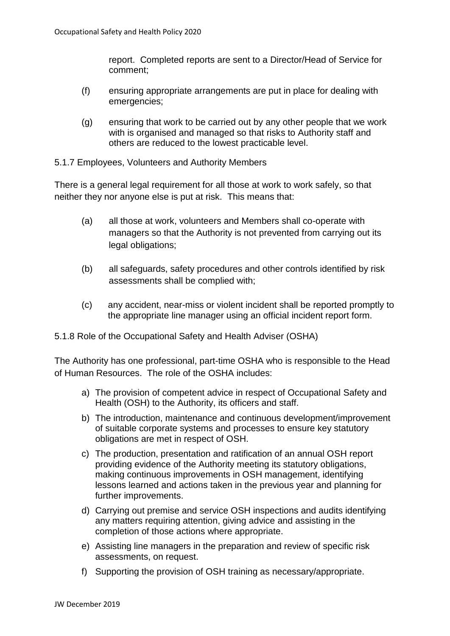report. Completed reports are sent to a Director/Head of Service for comment;

- (f) ensuring appropriate arrangements are put in place for dealing with emergencies;
- (g) ensuring that work to be carried out by any other people that we work with is organised and managed so that risks to Authority staff and others are reduced to the lowest practicable level.
- 5.1.7 Employees, Volunteers and Authority Members

There is a general legal requirement for all those at work to work safely, so that neither they nor anyone else is put at risk. This means that:

- (a) all those at work, volunteers and Members shall co-operate with managers so that the Authority is not prevented from carrying out its legal obligations;
- (b) all safeguards, safety procedures and other controls identified by risk assessments shall be complied with;
- (c) any accident, near-miss or violent incident shall be reported promptly to the appropriate line manager using an official incident report form.
- 5.1.8 Role of the Occupational Safety and Health Adviser (OSHA)

The Authority has one professional, part-time OSHA who is responsible to the Head of Human Resources. The role of the OSHA includes:

- a) The provision of competent advice in respect of Occupational Safety and Health (OSH) to the Authority, its officers and staff.
- b) The introduction, maintenance and continuous development/improvement of suitable corporate systems and processes to ensure key statutory obligations are met in respect of OSH.
- c) The production, presentation and ratification of an annual OSH report providing evidence of the Authority meeting its statutory obligations, making continuous improvements in OSH management, identifying lessons learned and actions taken in the previous year and planning for further improvements.
- d) Carrying out premise and service OSH inspections and audits identifying any matters requiring attention, giving advice and assisting in the completion of those actions where appropriate.
- e) Assisting line managers in the preparation and review of specific risk assessments, on request.
- f) Supporting the provision of OSH training as necessary/appropriate.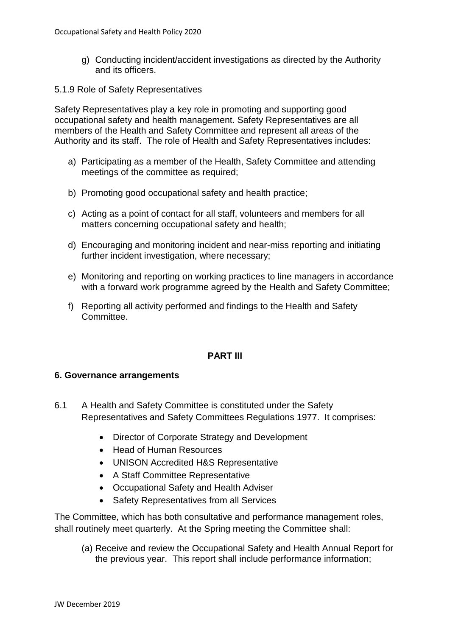- g) Conducting incident/accident investigations as directed by the Authority and its officers.
- 5.1.9 Role of Safety Representatives

Safety Representatives play a key role in promoting and supporting good occupational safety and health management. Safety Representatives are all members of the Health and Safety Committee and represent all areas of the Authority and its staff. The role of Health and Safety Representatives includes:

- a) Participating as a member of the Health, Safety Committee and attending meetings of the committee as required;
- b) Promoting good occupational safety and health practice;
- c) Acting as a point of contact for all staff, volunteers and members for all matters concerning occupational safety and health;
- d) Encouraging and monitoring incident and near-miss reporting and initiating further incident investigation, where necessary;
- e) Monitoring and reporting on working practices to line managers in accordance with a forward work programme agreed by the Health and Safety Committee;
- f) Reporting all activity performed and findings to the Health and Safety Committee.

### **PART III**

#### **6. Governance arrangements**

- 6.1 A Health and Safety Committee is constituted under the Safety Representatives and Safety Committees Regulations 1977. It comprises:
	- Director of Corporate Strategy and Development
	- Head of Human Resources
	- UNISON Accredited H&S Representative
	- A Staff Committee Representative
	- Occupational Safety and Health Adviser
	- Safety Representatives from all Services

The Committee, which has both consultative and performance management roles, shall routinely meet quarterly. At the Spring meeting the Committee shall:

(a) Receive and review the Occupational Safety and Health Annual Report for the previous year. This report shall include performance information;